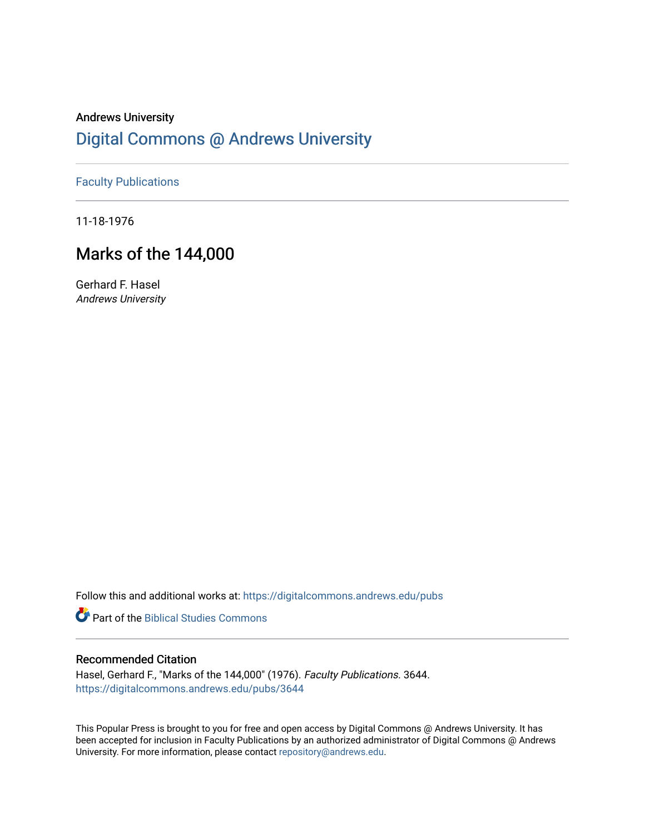# Andrews University [Digital Commons @ Andrews University](https://digitalcommons.andrews.edu/)

## [Faculty Publications](https://digitalcommons.andrews.edu/pubs)

11-18-1976

# Marks of the 144,000

Gerhard F. Hasel Andrews University

Follow this and additional works at: [https://digitalcommons.andrews.edu/pubs](https://digitalcommons.andrews.edu/pubs?utm_source=digitalcommons.andrews.edu%2Fpubs%2F3644&utm_medium=PDF&utm_campaign=PDFCoverPages) 

**Part of the Biblical Studies Commons** 

## Recommended Citation

Hasel, Gerhard F., "Marks of the 144,000" (1976). Faculty Publications. 3644. [https://digitalcommons.andrews.edu/pubs/3644](https://digitalcommons.andrews.edu/pubs/3644?utm_source=digitalcommons.andrews.edu%2Fpubs%2F3644&utm_medium=PDF&utm_campaign=PDFCoverPages) 

This Popular Press is brought to you for free and open access by Digital Commons @ Andrews University. It has been accepted for inclusion in Faculty Publications by an authorized administrator of Digital Commons @ Andrews University. For more information, please contact [repository@andrews.edu](mailto:repository@andrews.edu).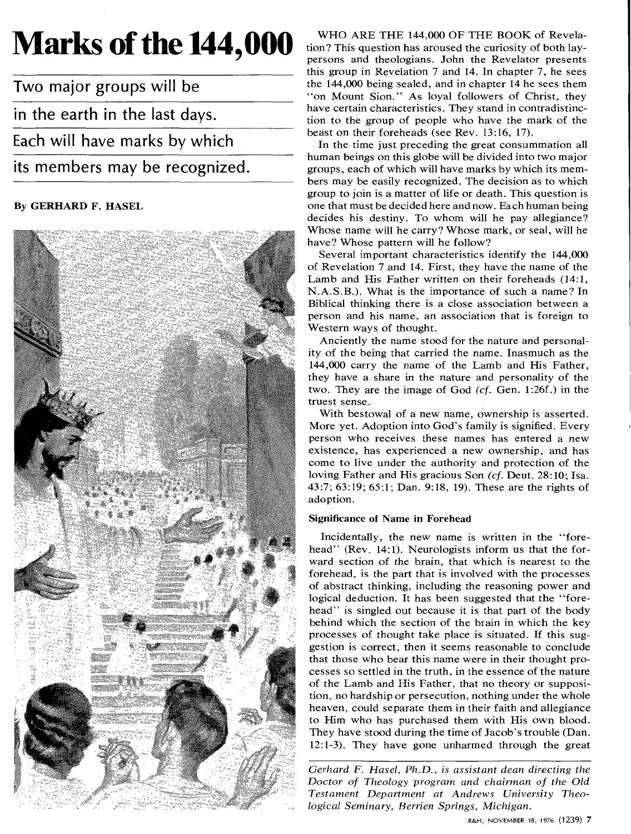# **Marks of the 144,000**

Two major groups will be in the earth in the last days. Each will have marks by which its members may be recognized.

### By GERHARD F. HASEL



WHO ARE THE 144,000 OF THE BOOK of Revelation? This question has aroused the curiosity of both laypersons and theologians. John the Revelator presents this group in Revelation 7 and 14. In chapter 7, he sees the 144,000 being sealed, and in chapter 14 he sees them "on Mount Sion." As loyal followers of Christ, they have certain characteristics. They stand in contradistinction to the group of people who have the mark of the beast on their foreheads (see Rev. 13:16, 17).

In the time just preceding the great consummation all human beings on this globe will be divided into two major groups, each of which will have marks by which its members may be easily recognized. The decision as to which group to join is a matter of life or death. This question is one that must be decided here and now. Each human being decides his destiny. To whom will he pay allegiance? Whose name will he carry? Whose mark, or seal, will he have? Whose pattern will he follow?

Several important characteristics identify the 144,000 of Revelation 7 and 14. First, they have the name of the Lamb and His Father written on their foreheads (14:1, N.A.S.B.). What is the importance of such a name? In Biblical thinking there is a close association between a person and his name, an association that is foreign to Western ways of thought.

Anciently the name stood for the nature and personality of the being that carried the name. Inasmuch as the 144,000 carry the name of the Lamb and His Father, they have a share in the nature and personality of the two. They are the image of God *(cf.* Gen. 1:26f.) in the truest sense.

With bestowal of a new name, ownership is asserted. More yet. Adoption into God's family is signified. Every person who receives these names has entered a new existence, has experienced a new ownership, and has come to live under the authority and protection of the loving Father and His gracious Son *(cf.* Deut. 28:10; Isa. 43:7; 63:19; 65:1; Dan. 9:18, 19). These are the rights of adoption.

### Significance of Name in Forehead

Incidentally, the new name is written in the "forehead" (Rev. 14:1). Neurologists inform us that the forward section of the brain, that which is nearest to the forehead, is the part that is involved with the processes of abstract thinking, including the reasoning power and logical deduction. It has been suggested that the "forehead" is singled out because it is that part of the body behind which the section of the brain in which the key processes of thought take place is situated. If this suggestion is correct, then it seems reasonable to conclude that those who bear this name were in their thought processes so settled in the truth, in the essence of the nature of the Lamb and His Father, that no theory or supposition, no hardship or persecution, nothing under the whole heaven, could separate them in their faith and allegiance to Him who has purchased them with His own blood. They have stood during the time of Jacob's trouble (Dan. 12:1-3). They have gone unharmed through the great

*Gerhard F. Hasel, Ph.D., is assistant dean directing the Doctor of Theology program and chairman of the Old Testament Department at Andrews University Theological Seminary, Berrien Springs, Michigan.*